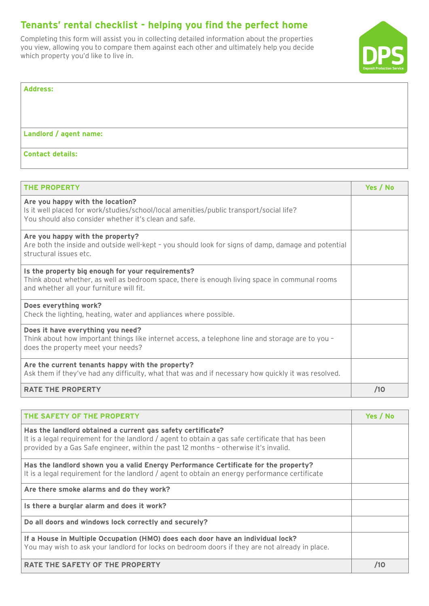## Tenants' rental checklist - helping you find the perfect home

Completing this form will assist you in collecting detailed information about the properties you view, allowing you to compare them against each other and ultimately help you decide which property you'd like to live in.



| <b>Address:</b>         |  |
|-------------------------|--|
|                         |  |
|                         |  |
| Landlord / agent name:  |  |
|                         |  |
| <b>Contact details:</b> |  |

| <b>THE PROPERTY</b>                                                                                                                                                                            | Yes / No |
|------------------------------------------------------------------------------------------------------------------------------------------------------------------------------------------------|----------|
| Are you happy with the location?<br>Is it well placed for work/studies/school/local amenities/public transport/social life?<br>You should also consider whether it's clean and safe.           |          |
| Are you happy with the property?<br>Are both the inside and outside well-kept - you should look for signs of damp, damage and potential<br>structural issues etc.                              |          |
| Is the property big enough for your requirements?<br>Think about whether, as well as bedroom space, there is enough living space in communal rooms<br>and whether all your furniture will fit. |          |
| Does everything work?<br>Check the lighting, heating, water and appliances where possible.                                                                                                     |          |
| Does it have everything you need?<br>Think about how important things like internet access, a telephone line and storage are to you -<br>does the property meet your needs?                    |          |
| Are the current tenants happy with the property?<br>Ask them if they've had any difficulty, what that was and if necessary how quickly it was resolved.                                        |          |
| <b>RATE THE PROPERTY</b>                                                                                                                                                                       | /10      |

| <b>THE SAFETY OF THE PROPERTY</b>                                                                                                                                                                                                                        | Yes / No |
|----------------------------------------------------------------------------------------------------------------------------------------------------------------------------------------------------------------------------------------------------------|----------|
| Has the landlord obtained a current gas safety certificate?<br>It is a legal requirement for the landlord / agent to obtain a gas safe certificate that has been<br>provided by a Gas Safe engineer, within the past 12 months - otherwise it's invalid. |          |
| Has the landlord shown you a valid Energy Performance Certificate for the property?<br>It is a legal requirement for the landlord / agent to obtain an energy performance certificate                                                                    |          |
| Are there smoke alarms and do they work?                                                                                                                                                                                                                 |          |
| Is there a burglar alarm and does it work?                                                                                                                                                                                                               |          |
| Do all doors and windows lock correctly and securely?                                                                                                                                                                                                    |          |
| If a House in Multiple Occupation (HMO) does each door have an individual lock?<br>You may wish to ask your landlord for locks on bedroom doors if they are not already in place.                                                                        |          |
| <b>RATE THE SAFETY OF THE PROPERTY</b>                                                                                                                                                                                                                   | /10      |